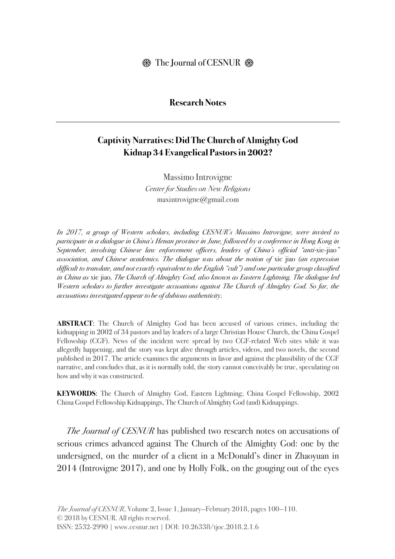#### **Research Notes**

# **Captivity Narratives: Did The Church of Almighty God Kidnap 34 Evangelical Pastors in 2002?**

Massimo Introvigne *Center for Studies on New Religions* maxintrovigne@gmail.com

*In 2017, a group of Western scholars, including CESNUR's Massimo Introvigne, were invited to participate in a dialogue in China's Henan province in June, followed by a conference in Hong Kong in September, involving Chinese law enforcement officers, leaders of China's official "anti-*xie-jiao*" association, and Chinese academics. The dialogue was about the notion of* xie jiao *(an expression difficult to translate, and not exactly equivalent to the English "cult") and one particular group classified in China as* xie jiao*, The Church of Almighty God, also known as Eastern Lightning. The dialogue led Western scholars to further investigate accusations against The Church of Almighty God. So far, the accusations investigated appear to be of dubious authenticity.*

**ABSTRACT**: The Church of Almighty God has been accused of various crimes, including the kidnapping in 2002 of 34 pastors and lay leaders of a large Christian House Church, the China Gospel Fellowship (CGF). News of the incident were spread by two CGF-related Web sites while it was allegedly happening, and the story was kept alive through articles, videos, and two novels, the second published in 2017. The article examines the arguments in favor and against the plausibility of the CGF narrative, and concludes that, as it is normally told, the story cannot conceivably be true, speculating on how and why it was constructed.

**KEYWORDS**: The Church of Almighty God, Eastern Lightning, China Gospel Fellowship, 2002 China Gospel Fellowship Kidnappings, The Church of Almighty God (and) Kidnappings.

*The Journal of CESNUR* has published two research notes on accusations of serious crimes advanced against The Church of the Almighty God: one by the undersigned, on the murder of a client in a McDonald's diner in Zhaoyuan in 2014 (Introvigne 2017), and one by Holly Folk, on the gouging out of the eyes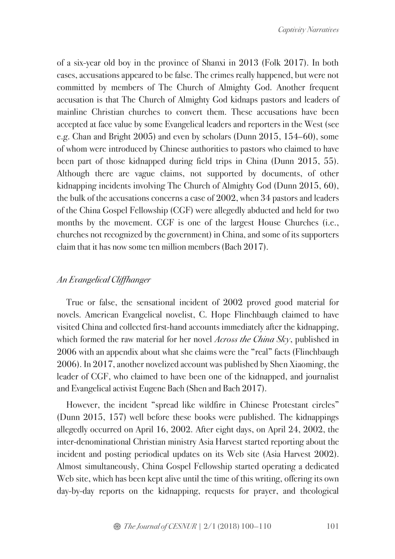of a six-year old boy in the province of Shanxi in 2013 (Folk 2017). In both cases, accusations appeared to be false. The crimes really happened, but were not committed by members of The Church of Almighty God. Another frequent accusation is that The Church of Almighty God kidnaps pastors and leaders of mainline Christian churches to convert them. These accusations have been accepted at face value by some Evangelical leaders and reporters in the West (see e.g. Chan and Bright 2005) and even by scholars (Dunn 2015, 154–60), some of whom were introduced by Chinese authorities to pastors who claimed to have been part of those kidnapped during field trips in China (Dunn 2015, 55). Although there are vague claims, not supported by documents, of other kidnapping incidents involving The Church of Almighty God (Dunn 2015, 60), the bulk of the accusations concerns a case of 2002, when 34 pastors and leaders of the China Gospel Fellowship (CGF) were allegedly abducted and held for two months by the movement. CGF is one of the largest House Churches (i.e., churches not recognized by the government) in China, and some of its supporters claim that it has now some ten million members (Bach 2017).

### *An Evangelical Cliffhanger*

True or false, the sensational incident of 2002 proved good material for novels. American Evangelical novelist, C. Hope Flinchbaugh claimed to have visited China and collected first-hand accounts immediately after the kidnapping, which formed the raw material for her novel *Across the China Sky*, published in 2006 with an appendix about what she claims were the "real" facts (Flinchbaugh 2006). In 2017, another novelized account was published by Shen Xiaoming, the leader of CGF, who claimed to have been one of the kidnapped, and journalist and Evangelical activist Eugene Bach (Shen and Bach 2017).

However, the incident "spread like wildfire in Chinese Protestant circles" (Dunn 2015, 157) well before these books were published. The kidnappings allegedly occurred on April 16, 2002. After eight days, on April 24, 2002, the inter-denominational Christian ministry Asia Harvest started reporting about the incident and posting periodical updates on its Web site (Asia Harvest 2002). Almost simultaneously, China Gospel Fellowship started operating a dedicated Web site, which has been kept alive until the time of this writing, offering its own day-by-day reports on the kidnapping, requests for prayer, and theological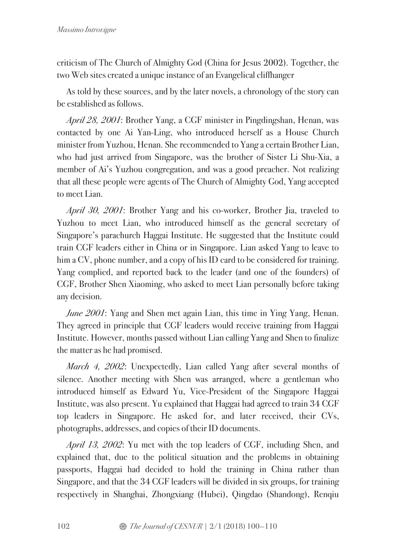criticism of The Church of Almighty God (China for Jesus 2002). Together, the two Web sites created a unique instance of an Evangelical cliffhanger

As told by these sources, and by the later novels, a chronology of the story can be established as follows.

*April 28, 2001*: Brother Yang, a CGF minister in Pingdingshan, Henan, was contacted by one Ai Yan-Ling, who introduced herself as a House Church minister from Yuzhou, Henan. She recommended to Yang a certain Brother Lian, who had just arrived from Singapore, was the brother of Sister Li Shu-Xia, a member of Ai's Yuzhou congregation, and was a good preacher. Not realizing that all these people were agents of The Church of Almighty God, Yang accepted to meet Lian.

*April 30, 2001*: Brother Yang and his co-worker, Brother Jia, traveled to Yuzhou to meet Lian, who introduced himself as the general secretary of Singapore's parachurch Haggai Institute. He suggested that the Institute could train CGF leaders either in China or in Singapore. Lian asked Yang to leave to him a CV, phone number, and a copy of his ID card to be considered for training. Yang complied, and reported back to the leader (and one of the founders) of CGF, Brother Shen Xiaoming, who asked to meet Lian personally before taking any decision.

*June 2001*: Yang and Shen met again Lian, this time in Ying Yang, Henan. They agreed in principle that CGF leaders would receive training from Haggai Institute. However, months passed without Lian calling Yang and Shen to finalize the matter as he had promised.

*March 4, 2002*: Unexpectedly, Lian called Yang after several months of silence. Another meeting with Shen was arranged, where a gentleman who introduced himself as Edward Yu, Vice-President of the Singapore Haggai Institute, was also present. Yu explained that Haggai had agreed to train 34 CGF top leaders in Singapore. He asked for, and later received, their CVs, photographs, addresses, and copies of their ID documents.

*April 13, 2002*: Yu met with the top leaders of CGF, including Shen, and explained that, due to the political situation and the problems in obtaining passports, Haggai had decided to hold the training in China rather than Singapore, and that the 34 CGF leaders will be divided in six groups, for training respectively in Shanghai, Zhongxiang (Hubei), Qingdao (Shandong), Renqiu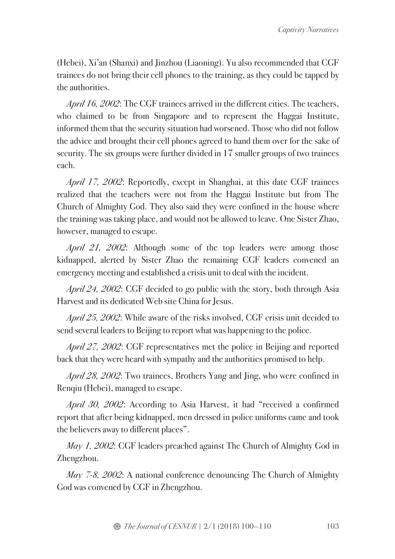(Hebei), Xi'an (Shanxi) and Jinzhou (Liaoning). Yu also recommended that CGF trainees do not bring their cell phones to the training, as they could be tapped by the authorities.

*April 16, 2002*: The CGF trainees arrived in the different cities. The teachers, who claimed to be from Singapore and to represent the Haggai Institute, informed them that the security situation had worsened. Those who did not follow the advice and brought their cell phones agreed to hand them over for the sake of security. The six groups were further divided in 17 smaller groups of two trainees each.

*April 17, 2002*: Reportedly, except in Shanghai, at this date CGF trainees realized that the teachers were not from the Haggai Institute but from The Church of Almighty God. They also said they were confined in the house where the training was taking place, and would not be allowed to leave. One Sister Zhao, however, managed to escape.

*April 21, 2002*: Although some of the top leaders were among those kidnapped, alerted by Sister Zhao the remaining CGF leaders convened an emergency meeting and established a crisis unit to deal with the incident.

*April 24, 2002*: CGF decided to go public with the story, both through Asia Harvest and its dedicated Web site China for Jesus.

*April 25, 2002*: While aware of the risks involved, CGF crisis unit decided to send several leaders to Beijing to report what was happening to the police.

*April 27, 2002*: CGF representatives met the police in Beijing and reported back that they were heard with sympathy and the authorities promised to help.

*April 28, 2002*: Two trainees, Brothers Yang and Jing, who were confined in Renqiu (Hebei), managed to escape.

*April 30, 2002*: According to Asia Harvest, it had "received a confirmed report that after being kidnapped, men dressed in police uniforms came and took the believers away to different places".

*May 1, 2002*: CGF leaders preached against The Church of Almighty God in Zhengzhou.

*May 7-8, 2002*: A national conference denouncing The Church of Almighty God was convened by CGF in Zhengzhou.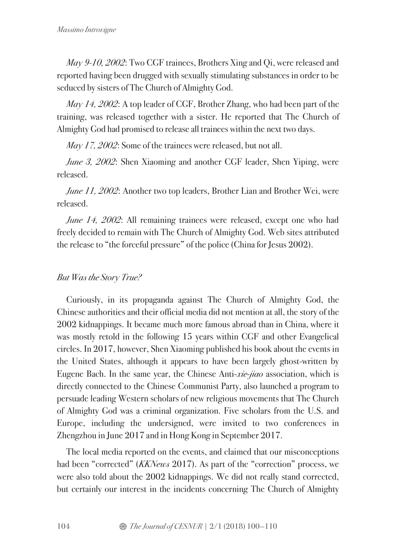*May 9-10, 2002*: Two CGF trainees, Brothers Xing and Qi, were released and reported having been drugged with sexually stimulating substances in order to be seduced by sisters of The Church of Almighty God.

*May 14, 2002*: A top leader of CGF, Brother Zhang, who had been part of the training, was released together with a sister. He reported that The Church of Almighty God had promised to release all trainees within the next two days.

*May 17, 2002*: Some of the trainees were released, but not all.

*June 3, 2002*: Shen Xiaoming and another CGF leader, Shen Yiping, were released.

*June 11, 2002*: Another two top leaders, Brother Lian and Brother Wei, were released.

*June 14, 2002*: All remaining trainees were released, except one who had freely decided to remain with The Church of Almighty God. Web sites attributed the release to "the forceful pressure" of the police (China for Jesus 2002).

# *But Was the Story True?*

Curiously, in its propaganda against The Church of Almighty God, the Chinese authorities and their official media did not mention at all, the story of the 2002 kidnappings. It became much more famous abroad than in China, where it was mostly retold in the following 15 years within CGF and other Evangelical circles. In 2017, however, Shen Xiaoming published his book about the events in the United States, although it appears to have been largely ghost-written by Eugene Bach. In the same year, the Chinese Anti-*xie*-*jiao* association, which is directly connected to the Chinese Communist Party, also launched a program to persuade leading Western scholars of new religious movements that The Church of Almighty God was a criminal organization. Five scholars from the U.S. and Europe, including the undersigned, were invited to two conferences in Zhengzhou in June 2017 and in Hong Kong in September 2017.

The local media reported on the events, and claimed that our misconceptions had been "corrected" (*KKNews* 2017). As part of the "correction" process, we were also told about the 2002 kidnappings. We did not really stand corrected, but certainly our interest in the incidents concerning The Church of Almighty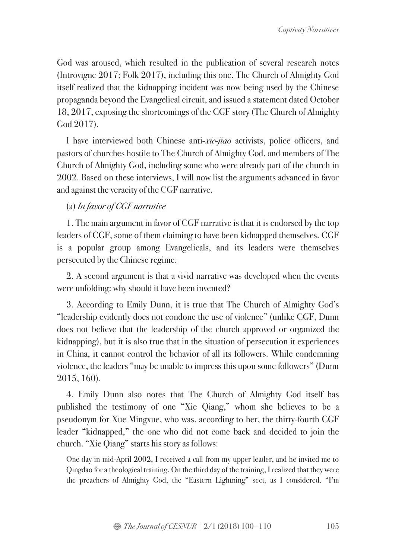God was aroused, which resulted in the publication of several research notes (Introvigne 2017; Folk 2017), including this one. The Church of Almighty God itself realized that the kidnapping incident was now being used by the Chinese propaganda beyond the Evangelical circuit, and issued a statement dated October 18, 2017, exposing the shortcomings of the CGF story (The Church of Almighty God 2017).

I have interviewed both Chinese anti-*xie*-*jiao* activists, police officers, and pastors of churches hostile to The Church of Almighty God, and members of The Church of Almighty God, including some who were already part of the church in 2002. Based on these interviews, I will now list the arguments advanced in favor and against the veracity of the CGF narrative.

### (a) *In favor of CGF narrative*

1. The main argument in favor of CGF narrative is that it is endorsed by the top leaders of CGF, some of them claiming to have been kidnapped themselves. CGF is a popular group among Evangelicals, and its leaders were themselves persecuted by the Chinese regime.

2. A second argument is that a vivid narrative was developed when the events were unfolding: why should it have been invented?

3. According to Emily Dunn, it is true that The Church of Almighty God's "leadership evidently does not condone the use of violence" (unlike CGF, Dunn does not believe that the leadership of the church approved or organized the kidnapping), but it is also true that in the situation of persecution it experiences in China, it cannot control the behavior of all its followers. While condemning violence, the leaders "may be unable to impress this upon some followers" (Dunn 2015, 160).

4. Emily Dunn also notes that The Church of Almighty God itself has published the testimony of one "Xie Qiang," whom she believes to be a pseudonym for Xue Mingxue, who was, according to her, the thirty-fourth CGF leader "kidnapped," the one who did not come back and decided to join the church. "Xie Qiang" starts his story as follows:

One day in mid-April 2002, I received a call from my upper leader, and he invited me to Qingdao for a theological training. On the third day of the training, I realized that they were the preachers of Almighty God, the "Eastern Lightning" sect, as I considered. "I'm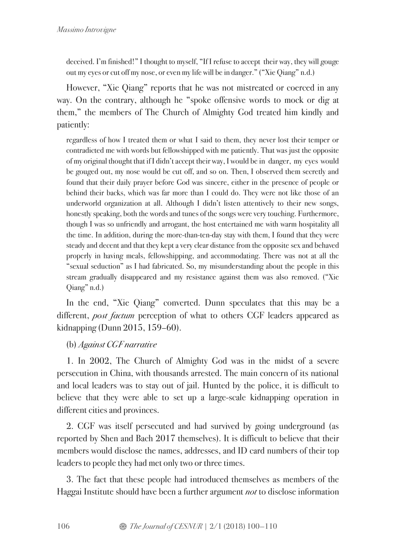deceived. I'm finished!" I thought to myself, "If I refuse to accept their way, they will gouge out my eyes or cut off my nose, or even my life will be in danger." ("Xie Qiang" n.d.)

However, "Xie Qiang" reports that he was not mistreated or coerced in any way. On the contrary, although he "spoke offensive words to mock or dig at them," the members of The Church of Almighty God treated him kindly and patiently:

regardless of how I treated them or what I said to them, they never lost their temper or contradicted me with words but fellowshipped with me patiently. That was just the opposite of my original thought that if I didn't accept their way, I would be in danger, my eyes would be gouged out, my nose would be cut off, and so on. Then, I observed them secretly and found that their daily prayer before God was sincere, either in the presence of people or behind their backs, which was far more than I could do. They were not like those of an underworld organization at all. Although I didn't listen attentively to their new songs, honestly speaking, both the words and tunes of the songs were very touching. Furthermore, though I was so unfriendly and arrogant, the host entertained me with warm hospitality all the time. In addition, during the more-than-ten-day stay with them, I found that they were steady and decent and that they kept a very clear distance from the opposite sex and behaved properly in having meals, fellowshipping, and accommodating. There was not at all the "sexual seduction" as I had fabricated. So, my misunderstanding about the people in this stream gradually disappeared and my resistance against them was also removed. ("Xie Qiang" n.d.)

In the end, "Xie Qiang" converted. Dunn speculates that this may be a different, *post factum* perception of what to others CGF leaders appeared as kidnapping (Dunn 2015, 159–60).

(b) *Against CGF narrative*

1. In 2002, The Church of Almighty God was in the midst of a severe persecution in China, with thousands arrested. The main concern of its national and local leaders was to stay out of jail. Hunted by the police, it is difficult to believe that they were able to set up a large-scale kidnapping operation in different cities and provinces.

2. CGF was itself persecuted and had survived by going underground (as reported by Shen and Bach 2017 themselves). It is difficult to believe that their members would disclose the names, addresses, and ID card numbers of their top leaders to people they had met only two or three times.

3. The fact that these people had introduced themselves as members of the Haggai Institute should have been a further argument *not* to disclose information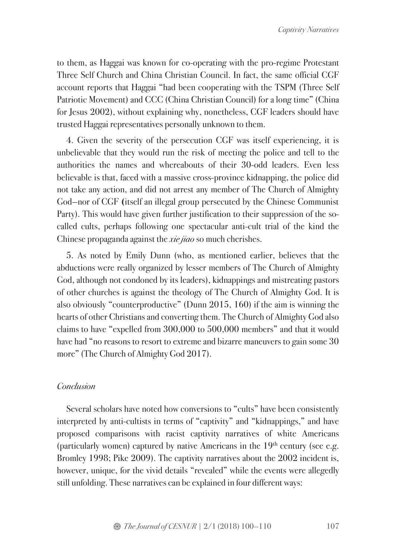to them, as Haggai was known for co-operating with the pro-regime Protestant Three Self Church and China Christian Council. In fact, the same official CGF account reports that Haggai "had been cooperating with the TSPM (Three Self Patriotic Movement) and CCC (China Christian Council) for a long time" (China for Jesus 2002), without explaining why, nonetheless, CGF leaders should have trusted Haggai representatives personally unknown to them.

4. Given the severity of the persecution CGF was itself experiencing, it is unbelievable that they would run the risk of meeting the police and tell to the authorities the names and whereabouts of their 30-odd leaders. Even less believable is that, faced with a massive cross-province kidnapping, the police did not take any action, and did not arrest any member of The Church of Almighty God—nor of CGF **(**itself an illegal group persecuted by the Chinese Communist Party). This would have given further justification to their suppression of the socalled cults, perhaps following one spectacular anti-cult trial of the kind the Chinese propaganda against the *xie jiao* so much cherishes.

5. As noted by Emily Dunn (who, as mentioned earlier, believes that the abductions were really organized by lesser members of The Church of Almighty God, although not condoned by its leaders), kidnappings and mistreating pastors of other churches is against the theology of The Church of Almighty God. It is also obviously "counterproductive" (Dunn 2015, 160) if the aim is winning the hearts of other Christians and converting them. The Church of Almighty God also claims to have "expelled from 300,000 to 500,000 members" and that it would have had "no reasons to resort to extreme and bizarre maneuvers to gain some 30 more" (The Church of Almighty God 2017).

### *Conclusion*

Several scholars have noted how conversions to "cults" have been consistently interpreted by anti-cultists in terms of "captivity" and "kidnappings," and have proposed comparisons with racist captivity narratives of white Americans (particularly women) captured by native Americans in the  $19<sup>th</sup>$  century (see e.g. Bromley 1998; Pike 2009). The captivity narratives about the 2002 incident is, however, unique, for the vivid details "revealed" while the events were allegedly still unfolding. These narratives can be explained in four different ways: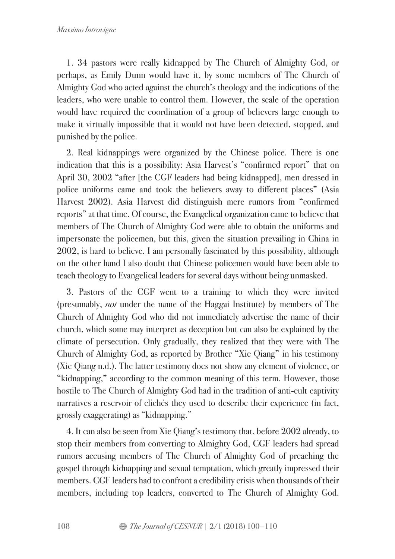1. 34 pastors were really kidnapped by The Church of Almighty God, or perhaps, as Emily Dunn would have it, by some members of The Church of Almighty God who acted against the church's theology and the indications of the leaders, who were unable to control them. However, the scale of the operation would have required the coordination of a group of believers large enough to make it virtually impossible that it would not have been detected, stopped, and punished by the police.

2. Real kidnappings were organized by the Chinese police. There is one indication that this is a possibility: Asia Harvest's "confirmed report" that on April 30, 2002 "after [the CGF leaders had being kidnapped], men dressed in police uniforms came and took the believers away to different places" (Asia Harvest 2002). Asia Harvest did distinguish mere rumors from "confirmed reports" at that time. Of course, the Evangelical organization came to believe that members of The Church of Almighty God were able to obtain the uniforms and impersonate the policemen, but this, given the situation prevailing in China in 2002, is hard to believe. I am personally fascinated by this possibility, although on the other hand I also doubt that Chinese policemen would have been able to teach theology to Evangelical leaders for several days without being unmasked.

3. Pastors of the CGF went to a training to which they were invited (presumably, *not* under the name of the Haggai Institute) by members of The Church of Almighty God who did not immediately advertise the name of their church, which some may interpret as deception but can also be explained by the climate of persecution. Only gradually, they realized that they were with The Church of Almighty God, as reported by Brother "Xie Qiang" in his testimony (Xie Qiang n.d.). The latter testimony does not show any element of violence, or "kidnapping," according to the common meaning of this term. However, those hostile to The Church of Almighty God had in the tradition of anti-cult captivity narratives a reservoir of clichés they used to describe their experience (in fact, grossly exaggerating) as "kidnapping."

4. It can also be seen from Xie Qiang's testimony that, before 2002 already, to stop their members from converting to Almighty God, CGF leaders had spread rumors accusing members of The Church of Almighty God of preaching the gospel through kidnapping and sexual temptation, which greatly impressed their members. CGF leaders had to confront a credibility crisis when thousands of their members, including top leaders, converted to The Church of Almighty God.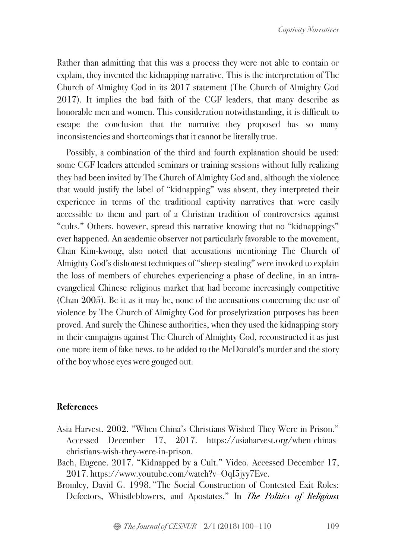Rather than admitting that this was a process they were not able to contain or explain, they invented the kidnapping narrative. This is the interpretation of The Church of Almighty God in its 2017 statement (The Church of Almighty God 2017). It implies the bad faith of the CGF leaders, that many describe as honorable men and women. This consideration notwithstanding, it is difficult to escape the conclusion that the narrative they proposed has so many inconsistencies and shortcomings that it cannot be literally true.

Possibly, a combination of the third and fourth explanation should be used: some CGF leaders attended seminars or training sessions without fully realizing they had been invited by The Church of Almighty God and, although the violence that would justify the label of "kidnapping" was absent, they interpreted their experience in terms of the traditional captivity narratives that were easily accessible to them and part of a Christian tradition of controversies against "cults." Others, however, spread this narrative knowing that no "kidnappings" ever happened. An academic observer not particularly favorable to the movement, Chan Kim-kwong, also noted that accusations mentioning The Church of Almighty God's dishonest techniques of "sheep-stealing" were invoked to explain the loss of members of churches experiencing a phase of decline, in an intraevangelical Chinese religious market that had become increasingly competitive (Chan 2005). Be it as it may be, none of the accusations concerning the use of violence by The Church of Almighty God for proselytization purposes has been proved. And surely the Chinese authorities, when they used the kidnapping story in their campaigns against The Church of Almighty God, reconstructed it as just one more item of fake news, to be added to the McDonald's murder and the story of the boy whose eyes were gouged out.

### **References**

- Asia Harvest. 2002. "When China's Christians Wished They Were in Prison." Accessed December 17, 2017. https://asiaharvest.org/when-chinaschristians-wish-they-were-in-prison.
- Bach, Eugene. 2017. "Kidnapped by a Cult." Video. Accessed December 17, 2017. https://www.youtube.com/watch?v=OqI5jyy7Evc.
- Bromley, David G. 1998. "The Social Construction of Contested Exit Roles: Defectors, Whistleblowers, and Apostates." In *The Politics of Religious*